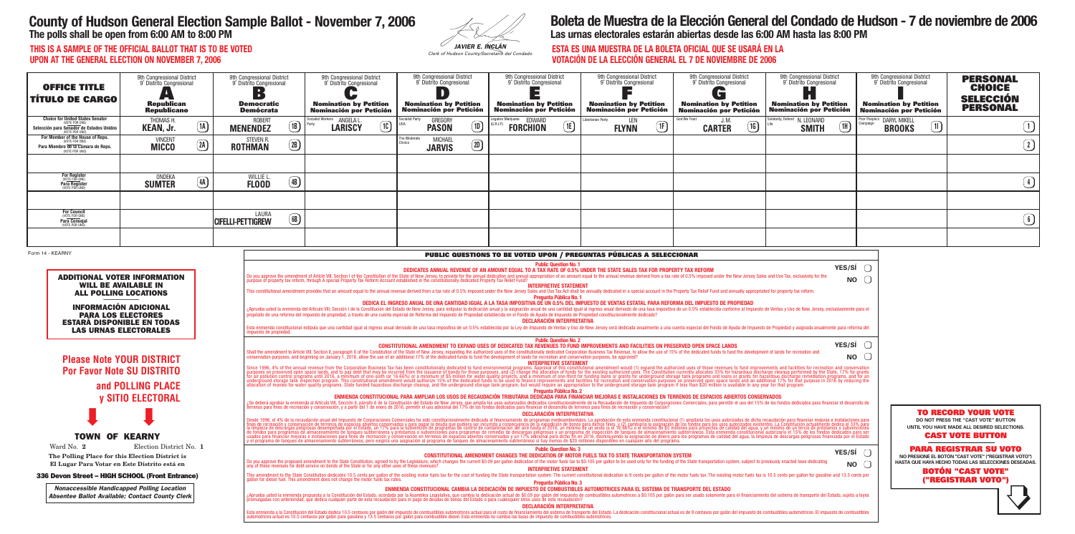| JAVIER E. INCLÁN |  |
|------------------|--|

# **County of Hudson General Election Sample Ballot - November 7, 2006**

**The polls shall be open from 6:00 AM to 8:00 PM**

## **Boleta de Muestra de la Elección General del Condado de Hudson - 7 de noviembre de 2006 Las urnas electorales estarán abiertas desde las 6:00 AM hasta las 8:00 PM**

**THIS IS A SAMPLE OF THE OFFICIAL BALLOT THAT IS TO BE VOTED UPON AT THE GENERAL ELECTION ON NOVEMBER 7, 2006**

## **ESTA ES UNA MUESTRA DE LA BOLETA OFICIAL QUE SE USARÁ EN LA VOTACIÓN DE LA ELECCIÓN GENERAL EL 7 DE NOVIEMBRE DE 2006**

| <b>OFFICE TITLE</b><br><b>TÍTULO DE CARGO</b>                                                                                                                                                                                                                                                     | 9th Congressional District<br>9° Distrito Congresional<br>Republican<br>Republicano                                                                                                                                                                                                                                                                                                                                                                                                                                                                                                                                                                                                                                                                                                                                                                                                                                                                                                                                                                                                                                                                                                                                                                                                                                                                                                                                                                                                                                                                                                                                                                                                                                                                                                                                                                                                                                                                                                                                                                                                                                                                                                                                                                                                                                                                                                                                                                                                                                                                                                                                                                                                                                                                                                                                                                                                                                                                                                                                                                                                                                             |                    | 9th Congressional District<br>9° Distrito Congresional<br>$\blacksquare$<br><b>Democratic</b><br><b>Demócrata</b> |                    | 9th Congressional District<br>9° Distrito Congresional<br><b>Nomination by Petition</b><br>Nominación por Petición |                              | 9th Congressional District<br>9° Distrito Congresional<br>$\blacksquare$<br><b>Nomination by Petition</b><br><b>Nominación por Petición</b> | 9th Congressional District<br>9° Distrito Congresional<br><b>Nomination by Petition</b><br><b>Nominación por Petición</b>                                                                                                                                                                                                                                                                                                                                                                                                                                                                                                                    | 9th Congressional District<br>9° Distrito Congresional<br><b>Nomination by Petition</b><br><b>Nominación por Petición</b> | 9th Congressional District<br>9° Distrito Congresional<br>$\blacksquare$<br><b>Nomination by Petition</b><br><b>Nominación por Petición</b> | 9th Congressional District<br>9° Distrito Congresional<br><b>Nomination by Petition</b><br><b>Nominación por Petición</b>                                                                                                                                                                                                                                                                                                                                                                                                                                                                                                                                                                                                                                                                                                                                                                                                                                         | 9th Congressional District<br>9° Distrito Congresional<br><b>Nomination by Petition</b><br>Nominación por Petición | <b>PERSONAL</b><br><b>CHOICE</b><br><b>SELECCIÓN</b><br><b>PERSONAL</b>                                                                                                                                                                                                                                         |
|---------------------------------------------------------------------------------------------------------------------------------------------------------------------------------------------------------------------------------------------------------------------------------------------------|---------------------------------------------------------------------------------------------------------------------------------------------------------------------------------------------------------------------------------------------------------------------------------------------------------------------------------------------------------------------------------------------------------------------------------------------------------------------------------------------------------------------------------------------------------------------------------------------------------------------------------------------------------------------------------------------------------------------------------------------------------------------------------------------------------------------------------------------------------------------------------------------------------------------------------------------------------------------------------------------------------------------------------------------------------------------------------------------------------------------------------------------------------------------------------------------------------------------------------------------------------------------------------------------------------------------------------------------------------------------------------------------------------------------------------------------------------------------------------------------------------------------------------------------------------------------------------------------------------------------------------------------------------------------------------------------------------------------------------------------------------------------------------------------------------------------------------------------------------------------------------------------------------------------------------------------------------------------------------------------------------------------------------------------------------------------------------------------------------------------------------------------------------------------------------------------------------------------------------------------------------------------------------------------------------------------------------------------------------------------------------------------------------------------------------------------------------------------------------------------------------------------------------------------------------------------------------------------------------------------------------------------------------------------------------------------------------------------------------------------------------------------------------------------------------------------------------------------------------------------------------------------------------------------------------------------------------------------------------------------------------------------------------------------------------------------------------------------------------------------------------|--------------------|-------------------------------------------------------------------------------------------------------------------|--------------------|--------------------------------------------------------------------------------------------------------------------|------------------------------|---------------------------------------------------------------------------------------------------------------------------------------------|----------------------------------------------------------------------------------------------------------------------------------------------------------------------------------------------------------------------------------------------------------------------------------------------------------------------------------------------------------------------------------------------------------------------------------------------------------------------------------------------------------------------------------------------------------------------------------------------------------------------------------------------|---------------------------------------------------------------------------------------------------------------------------|---------------------------------------------------------------------------------------------------------------------------------------------|-------------------------------------------------------------------------------------------------------------------------------------------------------------------------------------------------------------------------------------------------------------------------------------------------------------------------------------------------------------------------------------------------------------------------------------------------------------------------------------------------------------------------------------------------------------------------------------------------------------------------------------------------------------------------------------------------------------------------------------------------------------------------------------------------------------------------------------------------------------------------------------------------------------------------------------------------------------------|--------------------------------------------------------------------------------------------------------------------|-----------------------------------------------------------------------------------------------------------------------------------------------------------------------------------------------------------------------------------------------------------------------------------------------------------------|
| <b>Choice for United States Senator</b><br>VOTE FOR ONE)<br>Selección para Senador de Estados Unidos<br>VOTE POR UNO)                                                                                                                                                                             | THOMAS H.<br><b>KEAN, Jr.</b>                                                                                                                                                                                                                                                                                                                                                                                                                                                                                                                                                                                                                                                                                                                                                                                                                                                                                                                                                                                                                                                                                                                                                                                                                                                                                                                                                                                                                                                                                                                                                                                                                                                                                                                                                                                                                                                                                                                                                                                                                                                                                                                                                                                                                                                                                                                                                                                                                                                                                                                                                                                                                                                                                                                                                                                                                                                                                                                                                                                                                                                                                                   | $\Omega$           | <b>ROBERT</b><br><b>MENENDEZ</b>                                                                                  | $\boxed{1B}$       | Socialist Workers <b>ANGELA L</b><br><b>LARISCY</b>                                                                | ocialist Party<br>$\bigcirc$ | <b>GREGORY</b><br>$\textcircled{\tiny{1}}$<br><b>PASON</b>                                                                                  | egalize Marijuana EDWARD<br>$\textcircled{\tiny{1}}$<br><b>FORCHION</b>                                                                                                                                                                                                                                                                                                                                                                                                                                                                                                                                                                      | ibertarian Party.<br>(1F)<br><b>FLYNN</b>                                                                                 | God We Trust<br>J. M.<br>(1G)<br><b>CARTER</b>                                                                                              | Solidarity, Defend N. LEONARD<br>$\circled{\scriptstyle 1}$<br><b>SMITH</b>                                                                                                                                                                                                                                                                                                                                                                                                                                                                                                                                                                                                                                                                                                                                                                                                                                                                                       | oor People's DARYL MIKELL<br>$\boxed{1}$<br><b>BROOKS</b>                                                          | $\bigcirc$                                                                                                                                                                                                                                                                                                      |
| For Member of the House of Reps.<br>(VOTE FOR ONE)<br>Para Miembro de la Cámara de Reps.<br>(VOTE POR UNO)                                                                                                                                                                                        | <b>VINCENT</b><br><b>MICCO</b>                                                                                                                                                                                                                                                                                                                                                                                                                                                                                                                                                                                                                                                                                                                                                                                                                                                                                                                                                                                                                                                                                                                                                                                                                                                                                                                                                                                                                                                                                                                                                                                                                                                                                                                                                                                                                                                                                                                                                                                                                                                                                                                                                                                                                                                                                                                                                                                                                                                                                                                                                                                                                                                                                                                                                                                                                                                                                                                                                                                                                                                                                                  | (2A)               | <b>STEVEN R.</b><br><b>ROTHMAN</b>                                                                                | $\left( 2B\right)$ |                                                                                                                    | The Moderate<br>Choice       | <b>MICHAEL</b><br>$\circled{1}$<br><b>JARVIS</b>                                                                                            |                                                                                                                                                                                                                                                                                                                                                                                                                                                                                                                                                                                                                                              |                                                                                                                           |                                                                                                                                             |                                                                                                                                                                                                                                                                                                                                                                                                                                                                                                                                                                                                                                                                                                                                                                                                                                                                                                                                                                   |                                                                                                                    | $\bigcirc$                                                                                                                                                                                                                                                                                                      |
| For Register<br>(VOTE FOR ONE)<br>Para Register<br>(VOTE POR UNO)                                                                                                                                                                                                                                 | <b>ONDEKA</b>                                                                                                                                                                                                                                                                                                                                                                                                                                                                                                                                                                                                                                                                                                                                                                                                                                                                                                                                                                                                                                                                                                                                                                                                                                                                                                                                                                                                                                                                                                                                                                                                                                                                                                                                                                                                                                                                                                                                                                                                                                                                                                                                                                                                                                                                                                                                                                                                                                                                                                                                                                                                                                                                                                                                                                                                                                                                                                                                                                                                                                                                                                                   | $\left( 4A\right)$ | WILLIE L                                                                                                          | $\left( 4B\right)$ |                                                                                                                    |                              |                                                                                                                                             |                                                                                                                                                                                                                                                                                                                                                                                                                                                                                                                                                                                                                                              |                                                                                                                           |                                                                                                                                             |                                                                                                                                                                                                                                                                                                                                                                                                                                                                                                                                                                                                                                                                                                                                                                                                                                                                                                                                                                   |                                                                                                                    | $\bigcirc$                                                                                                                                                                                                                                                                                                      |
|                                                                                                                                                                                                                                                                                                   | <b>SUMTER</b>                                                                                                                                                                                                                                                                                                                                                                                                                                                                                                                                                                                                                                                                                                                                                                                                                                                                                                                                                                                                                                                                                                                                                                                                                                                                                                                                                                                                                                                                                                                                                                                                                                                                                                                                                                                                                                                                                                                                                                                                                                                                                                                                                                                                                                                                                                                                                                                                                                                                                                                                                                                                                                                                                                                                                                                                                                                                                                                                                                                                                                                                                                                   |                    | <b>FLOOD</b>                                                                                                      |                    |                                                                                                                    |                              |                                                                                                                                             |                                                                                                                                                                                                                                                                                                                                                                                                                                                                                                                                                                                                                                              |                                                                                                                           |                                                                                                                                             |                                                                                                                                                                                                                                                                                                                                                                                                                                                                                                                                                                                                                                                                                                                                                                                                                                                                                                                                                                   |                                                                                                                    |                                                                                                                                                                                                                                                                                                                 |
| <b>For Council</b><br>(VOTE FOR ONE)<br>Para Consejal                                                                                                                                                                                                                                             |                                                                                                                                                                                                                                                                                                                                                                                                                                                                                                                                                                                                                                                                                                                                                                                                                                                                                                                                                                                                                                                                                                                                                                                                                                                                                                                                                                                                                                                                                                                                                                                                                                                                                                                                                                                                                                                                                                                                                                                                                                                                                                                                                                                                                                                                                                                                                                                                                                                                                                                                                                                                                                                                                                                                                                                                                                                                                                                                                                                                                                                                                                                                 |                    | LAURA<br><b>CIFELLI-PETTIGREW</b>                                                                                 | $\bigcirc$         |                                                                                                                    |                              |                                                                                                                                             |                                                                                                                                                                                                                                                                                                                                                                                                                                                                                                                                                                                                                                              |                                                                                                                           |                                                                                                                                             |                                                                                                                                                                                                                                                                                                                                                                                                                                                                                                                                                                                                                                                                                                                                                                                                                                                                                                                                                                   |                                                                                                                    | $\bigcirc$                                                                                                                                                                                                                                                                                                      |
|                                                                                                                                                                                                                                                                                                   |                                                                                                                                                                                                                                                                                                                                                                                                                                                                                                                                                                                                                                                                                                                                                                                                                                                                                                                                                                                                                                                                                                                                                                                                                                                                                                                                                                                                                                                                                                                                                                                                                                                                                                                                                                                                                                                                                                                                                                                                                                                                                                                                                                                                                                                                                                                                                                                                                                                                                                                                                                                                                                                                                                                                                                                                                                                                                                                                                                                                                                                                                                                                 |                    |                                                                                                                   |                    |                                                                                                                    |                              |                                                                                                                                             |                                                                                                                                                                                                                                                                                                                                                                                                                                                                                                                                                                                                                                              |                                                                                                                           |                                                                                                                                             |                                                                                                                                                                                                                                                                                                                                                                                                                                                                                                                                                                                                                                                                                                                                                                                                                                                                                                                                                                   |                                                                                                                    |                                                                                                                                                                                                                                                                                                                 |
|                                                                                                                                                                                                                                                                                                   | <b>Public Question No. 1</b><br><b>YES/SÍ</b><br>DEDICATES ANNUAL REVENUE OF AN AMOUNT EQUAL TO A TAX RATE OF 0.5% UNDER THE STATE SALES TAX FOR PROPERTY TAX REFORM<br><b>ADDITIONAL VOTER INFORMATION</b><br>Do you approve the amendment of Article VIII, Section I of the Constitution of the State of New Jersey, to provide for the annual dedication and annual appropriation of an amount equal to the annual revenue derived from a<br><b>NO</b><br><b>WILL BE AVAILABLE IN</b><br><b>INTERPRETIVE STATEMENT</b><br>This constitutional amendment provides that an amount equal to the annual revenue derived from a tax rate of 0.5% imposed under the New Jersey Sales and Use Tax Act shall be annually dedicated in a special account in the P<br><b>ALL POLLING LOCATIONS</b><br>Pregunta Pública No. 1<br>DEDICA EL INGRESO ANUAL DE UNA CANTIDAD IGUAL A LA TASA IMPOSITIVA DE UN 0.5% DEL IMPUESTO DE VENTAS ESTATAL PARA REFORMA DEL IMPUESTO DE PROPIEDAD<br><b>INFORMACIÓN ADICIONAL</b><br>¿Aprueba usted la enmienda del Artículo VIII, Sección I de la Constitución del Estado de New Jersey, para estipular la dedicación anual y la asignación anual y le asignación anual de una cantidad igual al ingreso anual der<br><b>PARA LOS ELECTORES</b><br>DECLARACIÓN INTERPRETATIVA<br><b>ESTARA DISPONIBLE EN TODAS</b><br>Esta enmienda constitucional estipula que una cantidad igual al ingreso anual derivado de una tasa impositiva de un 0.5% establecida por la Ley de Impuesto de Ventas y Uso de New Jersey será dedicada anualmente a una cuent<br><b>LAS URNAS ELECTORALES</b><br>impuesto de propiedad<br><b>Public Question No. 2</b><br>YES/SÍ<br>CONSTITUTIONAL AMENDMENT TO EXPAND USES OF DEDICATED TAX REVENUES TO FUND IMPROVEMENTS AND FACILITIES ON PRESERVED OPEN SPACE LANDS<br>Shall the amendment to Article VIII, Section II, paragraph 6 of the Constitution of the State of New Jersey, expanding the authorized uses of the constitutionally dedicated Corporation Business Tax Revenue, to allow the us<br><b>NO</b><br>conservation purposes, and beginning on January 1, 2016, allow the use of an additional 17% of the dedicated funds to fund the development of lands for recreation and conservation purposes, be approved?<br><b>Please Note YOUR DISTRICT</b><br><b>INTERPRETIVE STATEMENT</b><br>Since 1996, 4% of the annual revenue from the Corporation Business Tax has been constitutionally dedicated to fund environmental programs. Approval of this constitutional amendment would (1) expand the authorized uses of t<br><b>Por Favor Note SU DISTRITO</b><br>and POLLING PLACE<br><b>Pregunta Pública No. 2</b><br>ENMIENDA CONSTITUCIONAL PARA AMPLIAR LOS USOS DE RECAUDACIÓN TRIBUTARIA DEDIČADA PARA FINANCIAR MEJORAS E INSTALACIONES EN TERRENOS DE ESPACIOS ABIERTOS CONSERVADOS<br><b>V SITIO ELECTORAL</b><br>¿Se deberá aprobar la enmienda al Artículo VIII, Sección II, párrafo 6 de la Constitución del Estado de New Jersey, que amplía los usos autorizados dedicados constitucionalmente de la Recaudación de Impuesto de Corporacion |                    |                                                                                                                   |                    |                                                                                                                    |                              |                                                                                                                                             |                                                                                                                                                                                                                                                                                                                                                                                                                                                                                                                                                                                                                                              |                                                                                                                           |                                                                                                                                             | <b>TO RECORD YOUR VOTE</b>                                                                                                                                                                                                                                                                                                                                                                                                                                                                                                                                                                                                                                                                                                                                                                                                                                                                                                                                        |                                                                                                                    |                                                                                                                                                                                                                                                                                                                 |
| <b>TOWN OF KEARNY</b><br>Ward No. 2<br>The Polling Place for this Election District is<br>El Lugar Para Votar en Este Distrito está en<br>336 Devon Street - HIGH SCHOOL (Front Entrance)<br><b>Nonaccessible Handicapped Polling Location</b><br>Absentee Ballot Available; Contact County Clerk | Election District No. 1                                                                                                                                                                                                                                                                                                                                                                                                                                                                                                                                                                                                                                                                                                                                                                                                                                                                                                                                                                                                                                                                                                                                                                                                                                                                                                                                                                                                                                                                                                                                                                                                                                                                                                                                                                                                                                                                                                                                                                                                                                                                                                                                                                                                                                                                                                                                                                                                                                                                                                                                                                                                                                                                                                                                                                                                                                                                                                                                                                                                                                                                                                         |                    |                                                                                                                   |                    | any of these revenues for debt service on bonds of the State or for any other uses of these revenues?              |                              |                                                                                                                                             | DECLARACIÓN INTERPRETATIVA<br><b>Public Question No. 3</b><br><b>CONSTITUTIONAL AMENDMENT CHANGES THE DEDICATION OF MOTOR FUELS TAX TO STATE TRANSPORTATION SYSTEM</b><br>Do you approve the proposed amendment to the State Constitution, agreed to by the Legislature, which changes the current \$0.09 per gallon dedication of the motor fuels tax to \$0.105 per gallon to be used only for the fundi<br><b>INTERPRETIVE STATEMENT</b><br>Pregunta Pública No. 3<br>ENMIENDA CONSTITUCIONAL CAMBIA LA DEDICACIÓN DE IMPUESTO DE COMBUSTIBLES AUTOMOTRICES PARA EL SISTEMA DE TRANSPORTE DEL ESTADO<br><b>DECLARACIÓN INTERPRETATIVA</b> |                                                                                                                           |                                                                                                                                             | Desde 1996, el 4% de la recaudación anual del Impuesto de Corporaciones Comerciales ha sido constitucionalmente dedicada al financiamiento de programas medioambientales. La aprobación de esta emmienda constitucional (1) am<br><b>YES/SÍ</b><br><b>NO</b><br>This amendment to the State Constitution dedicates 10.5 cents per gallon of the existing motor fuels tax for the cost of funding the State transportation system. The current constitutional dedication is 9 cents per gallon<br>¿Aprueba usted la enmienda propuesta a la Constitución del Estado, acordada por la Asamblea Legislativa, que cambia la dedicación actual de \$0.09 por galón del impuesto de combustibles automotrices a \$0.105 por galón para<br>Esta enmienda a la Constitución del Estado dedica 10.5 centavos por galón del impuesto de combustibles automotrices actual para el costo de financiamiento del sistema de transporte del Estado. La dedicación constitucional |                                                                                                                    | DO NOT PRESS THE "CAST VOTE" BUTTON<br>UNTIL YOU HAVE MADE ALL DESIRED SELECTIONS.<br><b>CAST VOTE BUTTON</b><br><b>PARA REGISTRAR SU VOTO</b><br>NO PRESIONE EL BOTÓN "CAST VOTE" ("REGISTRAR VOTO")<br>HASTA QUE HAYA HECHO TODAS LAS SELECCIONES DESEADAS.<br><b>BOTÓN "CAST VOTE"</b><br>("REGISTRAR VOTO") |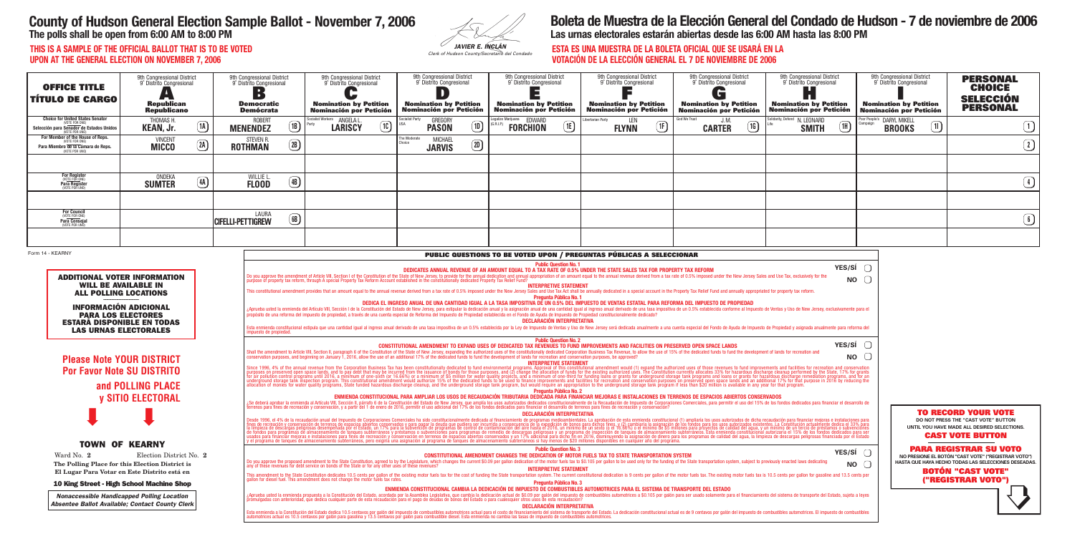| JAVIER E. INCLÁN |
|------------------|

# **County of Hudson General Election Sample Ballot - November 7, 2006**

**The polls shall be open from 6:00 AM to 8:00 PM**

## **Boleta de Muestra de la Elección General del Condado de Hudson - 7 de noviembre de 2006 Las urnas electorales estarán abiertas desde las 6:00 AM hasta las 8:00 PM**

**THIS IS A SAMPLE OF THE OFFICIAL BALLOT THAT IS TO BE VOTED UPON AT THE GENERAL ELECTION ON NOVEMBER 7, 2006**

## **ESTA ES UNA MUESTRA DE LA BOLETA OFICIAL QUE SE USARÁ EN LA VOTACIÓN DE LA ELECCIÓN GENERAL EL 7 DE NOVIEMBRE DE 2006**

| <b>OFFICE TITLE</b><br><b>TÍTULO DE CARGO</b>                                                                                | 9th Congressional District<br>9° Distrito Congresional<br><b>Republican</b><br><b>Republicano</b> |                               | 9th Congressional District<br>9° Distrito Congresional<br><b>Democratic</b><br><b>Demócrata</b> |                               | 9th Congressional District<br>9° Distrito Congresional<br><b>Nomination by Petition</b><br><b>Nominación por Petición</b>                                                                                                                                                                                                                                                                                                                                                                                                                                                  |                | 9th Congressional District<br>9° Distrito Congresional<br><b>Nomination by Petition</b><br><b>Nominación por Petición</b> | 9th Congressional District<br>9° Distrito Congresional<br><b>Nomination by Petition</b><br><b>Nominación por Petición</b> |                                                               | 9th Congressional District<br>9° Distrito Congresional<br><b>Nomination by Petition</b><br><b>Nominación por Petición</b>                                                                          |              | 9th Congressional District<br>9° Distrito Congresional<br><b>Nomination by Petition</b><br><b>Nominación por Petición</b> | 9th Congressional District<br>9° Distrito Congresional<br><b>Nomination by Petition</b><br>Nominación por Petición |               |           | 9th Congressional District<br>9° Distrito Congresional<br><b>Nomination by Petition</b><br>Nominación por Petición | <b>PERSONAL</b><br><b>CHOICE</b><br><b>SELECCIÓN</b><br><b>PERSONAL</b>                                                                 |
|------------------------------------------------------------------------------------------------------------------------------|---------------------------------------------------------------------------------------------------|-------------------------------|-------------------------------------------------------------------------------------------------|-------------------------------|----------------------------------------------------------------------------------------------------------------------------------------------------------------------------------------------------------------------------------------------------------------------------------------------------------------------------------------------------------------------------------------------------------------------------------------------------------------------------------------------------------------------------------------------------------------------------|----------------|---------------------------------------------------------------------------------------------------------------------------|---------------------------------------------------------------------------------------------------------------------------|---------------------------------------------------------------|----------------------------------------------------------------------------------------------------------------------------------------------------------------------------------------------------|--------------|---------------------------------------------------------------------------------------------------------------------------|--------------------------------------------------------------------------------------------------------------------|---------------|-----------|--------------------------------------------------------------------------------------------------------------------|-----------------------------------------------------------------------------------------------------------------------------------------|
| <b>Choice for United States Senator</b><br><b>/OTE FOR ONE)</b><br>Selección para Senador de Estados Unidos<br>VOTE POR UNO) | THOMAS H<br><b>KEAN, Jr.</b>                                                                      | $\boxed{1}$                   | <b>ROBERT</b><br><b>MENENDEZ</b>                                                                | $\boxed{1B}$                  | Socialist Workers <b>ANGELA L</b><br>$\boxed{1C}$<br><b>LARISCY</b>                                                                                                                                                                                                                                                                                                                                                                                                                                                                                                        | ocialist Party | GREGORY<br>$\boxed{1}$<br><b>PASON</b>                                                                                    | egalize Marijuana EDWARD<br><b>FORCHION</b>                                                                               | $\bigcirc$                                                    | Libertarian Party<br>LEN<br>(1F)<br><b>FLYNN</b>                                                                                                                                                   | God We Trust | J.M.<br>1G<br><b>CARTER</b>                                                                                               | Solidarity, Defend N. LEONARD<br><b>SMITH</b>                                                                      | $\boxed{1}$   |           | oor People's DARYL MIKELL<br>$\boxed{1}$<br><b>BROOKS</b>                                                          | $\bigcirc$                                                                                                                              |
| For Member of the House of Reps.<br>(VOTE FOR ONE)<br>Para Miembro de la Cámara de Reps.<br>(VOTE POR UNO)                   | <b>VINCENT</b><br><b>MICCO</b>                                                                    | (2A)                          | STEVEN R.<br><b>ROTHMAN</b>                                                                     | $\left( 2B\right)$            |                                                                                                                                                                                                                                                                                                                                                                                                                                                                                                                                                                            | The Moderate   | <b>MICHAEL</b><br>$\circled{1}$<br><b>JARVIS</b>                                                                          |                                                                                                                           |                                                               |                                                                                                                                                                                                    |              |                                                                                                                           |                                                                                                                    |               |           |                                                                                                                    | $\bigcirc$                                                                                                                              |
|                                                                                                                              |                                                                                                   |                               |                                                                                                 |                               |                                                                                                                                                                                                                                                                                                                                                                                                                                                                                                                                                                            |                |                                                                                                                           |                                                                                                                           |                                                               |                                                                                                                                                                                                    |              |                                                                                                                           |                                                                                                                    |               |           |                                                                                                                    |                                                                                                                                         |
| For Register<br>(VOTE FOR ONE)<br>Para Register<br>(VOTE POR UNO)                                                            | ONDEKA<br><b>SUMTER</b>                                                                           | $\left( \frac{4A}{2} \right)$ | WILLIE L<br><b>FLOOD</b>                                                                        | $\left( \frac{4B}{2} \right)$ |                                                                                                                                                                                                                                                                                                                                                                                                                                                                                                                                                                            |                |                                                                                                                           |                                                                                                                           |                                                               |                                                                                                                                                                                                    |              |                                                                                                                           |                                                                                                                    |               |           |                                                                                                                    | $\bigcirc$                                                                                                                              |
|                                                                                                                              |                                                                                                   |                               |                                                                                                 |                               |                                                                                                                                                                                                                                                                                                                                                                                                                                                                                                                                                                            |                |                                                                                                                           |                                                                                                                           |                                                               |                                                                                                                                                                                                    |              |                                                                                                                           |                                                                                                                    |               |           |                                                                                                                    |                                                                                                                                         |
| For Council<br>(VOTE FOR ONE)<br>Para Consejal                                                                               |                                                                                                   |                               | LAURA<br><b>CIFELLI-PETTIGREW</b>                                                               | $\left( 6B\right)$            |                                                                                                                                                                                                                                                                                                                                                                                                                                                                                                                                                                            |                |                                                                                                                           |                                                                                                                           |                                                               |                                                                                                                                                                                                    |              |                                                                                                                           |                                                                                                                    |               |           |                                                                                                                    | $\bigcirc$                                                                                                                              |
|                                                                                                                              |                                                                                                   |                               |                                                                                                 |                               |                                                                                                                                                                                                                                                                                                                                                                                                                                                                                                                                                                            |                |                                                                                                                           |                                                                                                                           |                                                               |                                                                                                                                                                                                    |              |                                                                                                                           |                                                                                                                    |               |           |                                                                                                                    |                                                                                                                                         |
| Form 14 - KEARNY                                                                                                             |                                                                                                   |                               |                                                                                                 |                               |                                                                                                                                                                                                                                                                                                                                                                                                                                                                                                                                                                            |                |                                                                                                                           |                                                                                                                           | <b>Public Question No. 1</b>                                  | <b>PUBLIC QUESTIONS TO BE VOTED UPON / PREGUNTAS PÚBLICAS A SELECCIONAR</b><br>DEDICATES ANNUAL REVENUE OF AN AMOUNT EQUAL TO A TAX RATE OF 0.5% UNDER THE STATE SALES TAX FOR PROPERTY TAX REFORM |              |                                                                                                                           |                                                                                                                    | <b>YES/SÍ</b> |           |                                                                                                                    |                                                                                                                                         |
| <b>ADDITIONAL VOTER INFORMATION</b><br><b>ALL POLLING LOCATIONS</b>                                                          | <b>WILL BE AVAILABLE IN</b>                                                                       |                               |                                                                                                 |                               | Do you approve the amendment of Article VIII, Section I of the Constitution of the State of New Jersey, to provide for the annual dedication and annual appropriation of an amount equal to the annual revenue derived from a<br>This constitutional amendment provides that an amount equal to the annual revenue derived from a tax rate of 0.5% imposed under the New Jersey Sales and Use Tax Act shall be annually dedicated in a special account in the P                                                                                                            |                |                                                                                                                           |                                                                                                                           | <b>INTERPRETIVE STATEMENT</b><br>Pregunta Pública No. 1       |                                                                                                                                                                                                    |              |                                                                                                                           |                                                                                                                    | <b>NO</b>     |           |                                                                                                                    |                                                                                                                                         |
| <b>INFORMACIÓN ADICIONAL</b><br><b>PARA LOS ELECTORES</b><br><b>LAS URNAS ELECTORALES</b>                                    | <b>ESTARÁ DISPONIBLE EN TODAS</b>                                                                 |                               | impuesto de propiedad.                                                                          |                               | ¿Aprueba usted la enmienda del Artículo VIII, Sección I de la Constitución del Estado de New Jersey, para estipular la dedicación anual y la asignación anual y le an antidad igual al ingreso anual derivado de una tasa impo<br>Esta enmienda constitucional estipula que una cantidad igual al ingreso anual derivado de una tasa impositiva de un 0.5% establecida por la Ley de Impuesto de Ventas y Uso de New Jersey será dedicada anualmente a una cuent                                                                                                           |                |                                                                                                                           | DECLARACIÓN INTERPRETATIVA                                                                                                |                                                               | DEDICA EL INGRESO ANUAL DE UNA CANTIDAD IGUAL A LA TASA IMPOSITIVA DE UN 0.5% DEL IMPUESTO DE VENTAS ESTATAL PARA REFORMA DEL IMPUESTO DE PROPIEDAD                                                |              |                                                                                                                           |                                                                                                                    |               |           |                                                                                                                    |                                                                                                                                         |
|                                                                                                                              | <b>Please Note YOUR DISTRICT</b>                                                                  |                               |                                                                                                 |                               | Shall the amendment to Article VIII, Section II, paragraph 6 of the Constitution of the State of New Jersey, expanding the authorized uses of the constitutionally dedicated Corporation Business Tax Revenue, to allow the us<br>conservation purposes, and beginning on January 1, 2016, allow the use of an additional 17% of the dedicated funds to fund the development of lands for recreation and conservation purposes, be approved?                                                                                                                               |                |                                                                                                                           |                                                                                                                           | <b>Public Question No. 2</b><br><b>INTERPRETIVE STATEMENT</b> | CONSTITUTIONAL AMENDMENT TO EXPAND USES OF DEDICATED TAX REVENUES TO FUND IMPROVEMENTS AND FACILITIES ON PRESERVED OPEN SPACE LANDS                                                                |              |                                                                                                                           |                                                                                                                    | <b>YES/SÍ</b> | <b>NO</b> |                                                                                                                    |                                                                                                                                         |
|                                                                                                                              | <b>Por Favor Note SU DISTRITO</b><br>and POLLING PLACE                                            |                               |                                                                                                 |                               | Since 1996, 4% of the annual revenue from the Corporation Business Tax has been constitutionally dedicated to fund environmental programs. Approval of this constitutional amendment would (1) expand the authorized uses of t                                                                                                                                                                                                                                                                                                                                             |                |                                                                                                                           |                                                                                                                           | <b>Pregunta Pública No. 2</b>                                 |                                                                                                                                                                                                    |              |                                                                                                                           |                                                                                                                    |               |           |                                                                                                                    |                                                                                                                                         |
|                                                                                                                              | <b>y SITIO ELECTORAL</b>                                                                          |                               |                                                                                                 |                               | ¿Se deberá aprobar la enmienda al Artículo VIII, Sección II, párrafo 6 de la Constitución del Estado de New Jersey, que amplía los usos autorizados dedicados constitucionalmente de la Recaudación de Impuesto de Corporacion                                                                                                                                                                                                                                                                                                                                             |                |                                                                                                                           |                                                                                                                           |                                                               | ENMIENDA CONSTITUCIONAL PARA AMPLIAR LOS USOS DE RECAUDACIÓN TRIBUTARIA DEDIČADA PARA FINANCIAR MEJORAS E INSTALACIONES EN TERRENOS DE ESPACIOS ABIERTOS CONSERVADOS                               |              |                                                                                                                           |                                                                                                                    |               |           |                                                                                                                    | <b>TO RECORD YOUR VOTE</b>                                                                                                              |
|                                                                                                                              |                                                                                                   |                               |                                                                                                 |                               | Desde 1996, el 4% de la recaudación anual del Impuesto de Corporaciones Comerciales ha sido constitucionalmente dedicada al financiamiento de programas medioambientales. La aprobación de esta emmienda constitucional (1) a                                                                                                                                                                                                                                                                                                                                              |                |                                                                                                                           | DECLARACIÓN INTERPRETATIVA                                                                                                |                                                               |                                                                                                                                                                                                    |              |                                                                                                                           |                                                                                                                    |               |           |                                                                                                                    | DO NOT PRESS THE "CAST VOTE" BUTTON<br>UNTIL YOU HAVE MADE ALL DESIRED SELECTIONS.<br><b>CAST VOTE BUTTON</b>                           |
|                                                                                                                              | <b>TOWN OF KEARNY</b>                                                                             |                               |                                                                                                 |                               |                                                                                                                                                                                                                                                                                                                                                                                                                                                                                                                                                                            |                |                                                                                                                           |                                                                                                                           | <b>Public Question No. 3</b>                                  |                                                                                                                                                                                                    |              |                                                                                                                           |                                                                                                                    | <b>YES/SÍ</b> |           |                                                                                                                    | <b>PARA REGISTRAR SU VOTO</b>                                                                                                           |
| Ward No. 2<br>The Polling Place for this Election District is<br>El Lugar Para Votar en Este Distrito está en                | Election District No. 2                                                                           |                               |                                                                                                 |                               | Do you approve the proposed amendment to the State Constitution, agreed to by the Legislature, which changes the current \$0.09 per gallon dedication of the motor fuels tax to \$0.105 per gallon to be used only for the fundi<br>any of these revenues for debt service on bonds of the State or for any other uses of these revenues?<br>This amendment to the State Constitution dedicates 10.5 cents per gallon of the existing motor fuels tax for the cost of funding the State transportation system. The current constitutional dedication is 9 cents per gallon |                |                                                                                                                           |                                                                                                                           | <b>INTERPRETIVE STATEMENT</b>                                 | <b>CONSTITUTIONAL AMENDMENT CHANGES THE DEDICATION OF MOTOR FUELS TAX TO STATE TRANSPORTATION SYSTEM</b>                                                                                           |              |                                                                                                                           |                                                                                                                    |               | <b>NO</b> |                                                                                                                    | NO PRESIONE EL BOTÓN "CAST VOTE" ("REGISTRAR VOTO")<br>HASTA QUE HAYA HECHO TODAS LAS SELECCIONES DESEADAS.<br><b>BOTÓN "CAST VOTE"</b> |
| <b>10 King Street - High School Machine Shop</b>                                                                             |                                                                                                   |                               |                                                                                                 |                               | gallon for diesel fuel. This amendment does not change the motor fuels tax rates.                                                                                                                                                                                                                                                                                                                                                                                                                                                                                          |                |                                                                                                                           |                                                                                                                           | <b>Pregunta Pública No. 3</b>                                 | ENMIENDA CONSTITUCIONAL CAMBIA LA DEDICACIÓN DE IMPUESTO DE COMBUSTIBLES AUTOMOTRICES PARA EL SISTEMA DE TRANSPORTE DEL ESTADO                                                                     |              |                                                                                                                           |                                                                                                                    |               |           |                                                                                                                    | ("REGISTRAR VOTO")                                                                                                                      |
| <b>Nonaccessible Handicapped Polling Location</b><br>Absentee Ballot Available; Contact County Clerk                         |                                                                                                   |                               |                                                                                                 |                               | ¿Aprueba usted la enmienda propuesta a la Constitución del Estado, acordada por la Asamblea Legislativa, que cambia la dedicación actual de \$0.09 por galón del impuesto de combustibles automotrices a \$0.105 por galón para<br>Esta enmienda a la Constitución del Estado dedica 10.5 centavos por galón del impuesto de combustibles automotrices actual para el costo de financiamiento del sistema de transporte del Estado. La dedicación constitucional                                                                                                           |                |                                                                                                                           | <b>DECLARACIÓN INTERPRETATIVA</b>                                                                                         |                                                               |                                                                                                                                                                                                    |              |                                                                                                                           |                                                                                                                    |               |           |                                                                                                                    |                                                                                                                                         |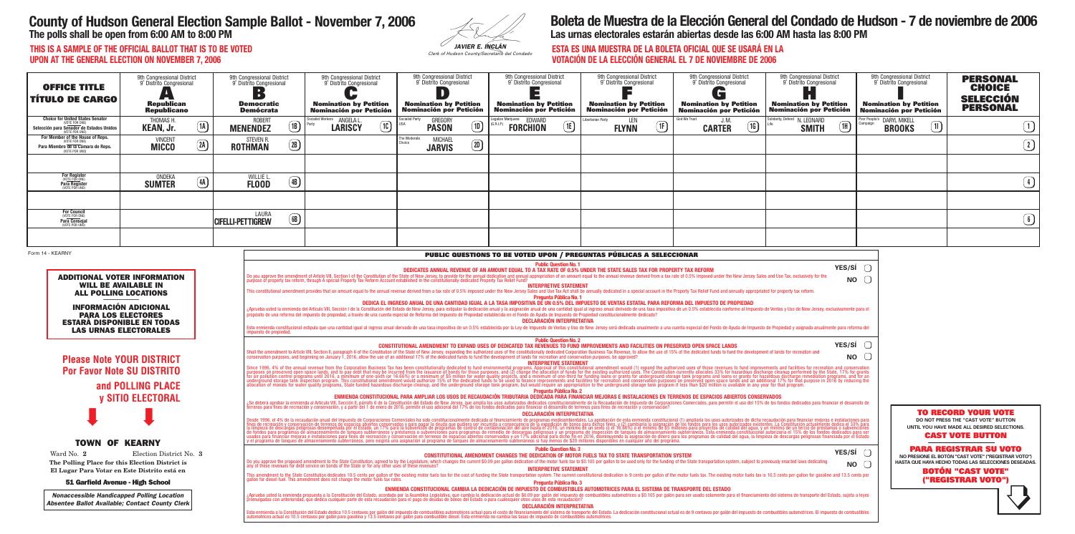| JAVIER E. INCLÁN |
|------------------|

| <b>ESTA ES U</b> |  |
|------------------|--|
| <b>VOTACIÓN</b>  |  |
|                  |  |

# **County of Hudson General Election Sample Ballot - November 7, 2006**

**The polls shall be open from 6:00 AM to 8:00 PM**

## **Boleta de Muestra de la Elección General del Condado de Hudson - 7 de noviembre de 2006 Las urnas electorales estarán abiertas desde las 6:00 AM hasta las 8:00 PM**

**THIS IS A SAMPLE OF THE OFFICIAL BALLOT THAT IS TO BE VOTED UPON AT THE GENERAL ELECTION ON NOVEMBER 7, 2006**

## **ESTA ES UNA MUESTRA DE LA BOLETA OFICIAL QUE SE USARÁ EN LA VOTACIÓN DE LA ELECCIÓN GENERAL EL 7 DE NOVIEMBRE DE 2006**

| <b>OFFICE TITLE</b><br><b>TITULO DE CARGO</b>                                                                                         | 9th Congressional District<br>9° Distrito Congresional<br>1 m i<br><b>Republican</b><br><b>Republicano</b>                                                                                              |                        | 9th Congressional District<br>9° Distrito Congresional<br>$\blacksquare$<br><b>Democratic</b><br><b>Demócrata</b> |                                                                                                                                                                                                                                                                                                                                                                                                                                                                                                                                                                                                                                                                                                                                                                                                                                                                                                                                                                                                                         | 9th Congressional District<br>9° Distrito Congresional<br><b>Nomination by Petition</b><br><b>Nominación por Petición</b> |    | 9th Congressional District<br>9° Distrito Congresional<br><b>Nomination by Petition</b><br><b>Nominación por Petición</b> | 9th Congressional District<br>9° Distrito Congresional<br><b>Nomination by Petition</b><br><b>Nominación por Petición</b>                                                                                                                                                                                                                                                                                                                                                                                                                                                                                                                                                                                                                                                                                                                                                                                                                                                                                                                                                                                                                                                                         | 9th Congressional District<br>9° Distrito Congresional<br><b>Nomination by Petition</b><br><b>Nominación por Petición</b> | 9th Congressional District<br>9° Distrito Congresional<br>$\mathbf{C}$<br><b>Nomination by Petition</b><br>Nominación por Petición | 9th Congressional District<br>9° Distrito Congresional<br>H.<br><b>Nomination by Petition</b><br><b>Nominación por Petición</b> | 9th Congressional District<br>9° Distrito Congresional<br><b>Nomination by Petition</b><br>Nominación por Petición | <b>PERSONAL</b><br><b>CHOICE</b><br><b>SELECCIÓN</b><br><b>PERSONAL</b>                                                                                                                                                                                                                     |
|---------------------------------------------------------------------------------------------------------------------------------------|---------------------------------------------------------------------------------------------------------------------------------------------------------------------------------------------------------|------------------------|-------------------------------------------------------------------------------------------------------------------|-------------------------------------------------------------------------------------------------------------------------------------------------------------------------------------------------------------------------------------------------------------------------------------------------------------------------------------------------------------------------------------------------------------------------------------------------------------------------------------------------------------------------------------------------------------------------------------------------------------------------------------------------------------------------------------------------------------------------------------------------------------------------------------------------------------------------------------------------------------------------------------------------------------------------------------------------------------------------------------------------------------------------|---------------------------------------------------------------------------------------------------------------------------|----|---------------------------------------------------------------------------------------------------------------------------|---------------------------------------------------------------------------------------------------------------------------------------------------------------------------------------------------------------------------------------------------------------------------------------------------------------------------------------------------------------------------------------------------------------------------------------------------------------------------------------------------------------------------------------------------------------------------------------------------------------------------------------------------------------------------------------------------------------------------------------------------------------------------------------------------------------------------------------------------------------------------------------------------------------------------------------------------------------------------------------------------------------------------------------------------------------------------------------------------------------------------------------------------------------------------------------------------|---------------------------------------------------------------------------------------------------------------------------|------------------------------------------------------------------------------------------------------------------------------------|---------------------------------------------------------------------------------------------------------------------------------|--------------------------------------------------------------------------------------------------------------------|---------------------------------------------------------------------------------------------------------------------------------------------------------------------------------------------------------------------------------------------------------------------------------------------|
| <b>Choice for United States Senator</b><br>VOTE FOR ONE)<br>Selección para Senador de Estados Unidos<br>VOTE POR UNO)                 | THOMAS H<br><b>KEAN, Jr.</b>                                                                                                                                                                            | $\Omega$               | <b>ROBERT</b><br><b>MENENDEZ</b>                                                                                  | (1B)                                                                                                                                                                                                                                                                                                                                                                                                                                                                                                                                                                                                                                                                                                                                                                                                                                                                                                                                                                                                                    | Socialist Workers <b>ANGELA L</b><br><b>LARISCY</b>                                                                       | 10 | ocialist Party<br><b>GREGORY</b><br>$\textcircled{\tiny{1D}}$<br><b>PASON</b>                                             | galize Marijuana EDWARD<br>$\mathbf{E}$<br><b>FORCHION</b>                                                                                                                                                                                                                                                                                                                                                                                                                                                                                                                                                                                                                                                                                                                                                                                                                                                                                                                                                                                                                                                                                                                                        | LEN<br>Libertarian Party<br>(1F)<br><b>FLYNN</b>                                                                          | God We Trust<br>J. M.<br>$\boxed{1}$<br><b>CARTER</b>                                                                              | olidarity, Defend N. LEONARD<br>$\boxed{1}$<br><b>SMITH</b>                                                                     | Poor People's DARYL MIKELL<br>$\boxed{1}$<br><b>BROOKS</b>                                                         | $\boxed{1}$                                                                                                                                                                                                                                                                                 |
| For Member of the House of Reps.<br><b>VOTE FOR ONE)</b><br>Para Miembro de la Cámara de Reps.<br>VOTE POR UNO)                       | <b>VINCENT</b><br><b>MICCO</b>                                                                                                                                                                          | $\Omega$               | <b>STEVEN R</b><br><b>ROTHMAN</b>                                                                                 | $\left( 2B\right)$                                                                                                                                                                                                                                                                                                                                                                                                                                                                                                                                                                                                                                                                                                                                                                                                                                                                                                                                                                                                      |                                                                                                                           |    | The Moderate<br><b>MICHAEL</b><br>$\boxed{2D}$<br><b>JARVIS</b>                                                           |                                                                                                                                                                                                                                                                                                                                                                                                                                                                                                                                                                                                                                                                                                                                                                                                                                                                                                                                                                                                                                                                                                                                                                                                   |                                                                                                                           |                                                                                                                                    |                                                                                                                                 |                                                                                                                    | $\bigcirc$                                                                                                                                                                                                                                                                                  |
| For Register<br>(VOTE FOR ONE)<br>Para Register<br>(VOTE POR UNO)                                                                     | ONDEKA                                                                                                                                                                                                  | $\circled{\textsf{A}}$ | WILLIE L                                                                                                          | $\bigcirc$                                                                                                                                                                                                                                                                                                                                                                                                                                                                                                                                                                                                                                                                                                                                                                                                                                                                                                                                                                                                              |                                                                                                                           |    |                                                                                                                           |                                                                                                                                                                                                                                                                                                                                                                                                                                                                                                                                                                                                                                                                                                                                                                                                                                                                                                                                                                                                                                                                                                                                                                                                   |                                                                                                                           |                                                                                                                                    |                                                                                                                                 |                                                                                                                    | $\bigcirc$                                                                                                                                                                                                                                                                                  |
|                                                                                                                                       | <b>SUMTER</b>                                                                                                                                                                                           |                        | <b>FLOOD</b>                                                                                                      |                                                                                                                                                                                                                                                                                                                                                                                                                                                                                                                                                                                                                                                                                                                                                                                                                                                                                                                                                                                                                         |                                                                                                                           |    |                                                                                                                           |                                                                                                                                                                                                                                                                                                                                                                                                                                                                                                                                                                                                                                                                                                                                                                                                                                                                                                                                                                                                                                                                                                                                                                                                   |                                                                                                                           |                                                                                                                                    |                                                                                                                                 |                                                                                                                    |                                                                                                                                                                                                                                                                                             |
| <b>For Council</b><br>(VOTE FOR ONE)<br><b>Para Consejal</b><br>(VOTE POR UNO)                                                        |                                                                                                                                                                                                         |                        | LAURA<br><b>CIFELLI-PETTIGREW</b>                                                                                 | $\bigcirc$                                                                                                                                                                                                                                                                                                                                                                                                                                                                                                                                                                                                                                                                                                                                                                                                                                                                                                                                                                                                              |                                                                                                                           |    |                                                                                                                           |                                                                                                                                                                                                                                                                                                                                                                                                                                                                                                                                                                                                                                                                                                                                                                                                                                                                                                                                                                                                                                                                                                                                                                                                   |                                                                                                                           |                                                                                                                                    |                                                                                                                                 |                                                                                                                    | $\bigcirc$                                                                                                                                                                                                                                                                                  |
|                                                                                                                                       |                                                                                                                                                                                                         |                        |                                                                                                                   |                                                                                                                                                                                                                                                                                                                                                                                                                                                                                                                                                                                                                                                                                                                                                                                                                                                                                                                                                                                                                         |                                                                                                                           |    |                                                                                                                           |                                                                                                                                                                                                                                                                                                                                                                                                                                                                                                                                                                                                                                                                                                                                                                                                                                                                                                                                                                                                                                                                                                                                                                                                   |                                                                                                                           |                                                                                                                                    |                                                                                                                                 |                                                                                                                    |                                                                                                                                                                                                                                                                                             |
| <b>PARA LOS ELECTORES</b>                                                                                                             | <b>ADDITIONAL VOTER INFORMATION</b><br><b>WILL BE AVAILABLE IN</b><br><b>ALL POLLING LOCATIONS</b><br><b>INFORMACIÓN ADICIONAL</b><br><b>ESTARÁ DISPONIBLE EN TODAS</b><br><b>LAS URNAS ELECTORALES</b> |                        | impuesto de propiedad                                                                                             |                                                                                                                                                                                                                                                                                                                                                                                                                                                                                                                                                                                                                                                                                                                                                                                                                                                                                                                                                                                                                         |                                                                                                                           |    |                                                                                                                           | Do you approve the amendment of Article VIII, Section I of the Constitution of the State of New Jersey, to provide for the annual dedication and annual appropriation of an amount equal to the annual revenue derived from a<br><b>INTERPRETIVE STATEMENT</b><br>This constitutional amendment provides that an amount equal to the annual revenue derived from a tax rate of 0.5% imposed under the New Jersey Sales and Use Tax Act shall be annually dedicated in a special account in the P<br><b>Pregunta Pública No. 1</b><br>DEDICA EL INGRESO ANUAL DE UNA CANTIDAD IGUAL A LA TASA IMPOSITIVA DE UN 0.5% DEL IMPUESTO DE VENTAS ESTATAL PARA REFORMA DEL IMPUESTO DE PROPIEDAD<br>¿Aprueba usted la enmienda del Artículo VIII, Sección I de la Constitución del Estado de New Jersey, para estipular la dedicación anual y la asignación anual y le asignación anual de una cantidad igual al ingreso anual der<br><b>DECLARACIÓN INTERPRETATIVA</b><br>Esta enmienda constitucional estipula que una cantidad igual al ingreso anual derivado de una tasa impositiva de un 0.5% establecida por la Ley de Impuesto de Ventas y Uso de New Jersey será dedicada anualmente a una cuent |                                                                                                                           |                                                                                                                                    | <b>NO</b>                                                                                                                       |                                                                                                                    |                                                                                                                                                                                                                                                                                             |
|                                                                                                                                       | <b>Please Note YOUR DISTRICT</b><br><b>Por Favor Note SU DISTRITO</b><br>and POLLING PLACE<br><b>y SITIO ELECTORAL</b>                                                                                  |                        |                                                                                                                   |                                                                                                                                                                                                                                                                                                                                                                                                                                                                                                                                                                                                                                                                                                                                                                                                                                                                                                                                                                                                                         |                                                                                                                           |    |                                                                                                                           | <b>Public Question No. 2</b><br>CONSTITUTIONAL AMENDMENT TO EXPAND USES OF DEDICATED TAX REVENUES TO FUND IMPROVEMENTS AND FACILITIES ON PRESERVED OPEN SPACE LANDS<br>Shall the amendment to Article VIII, Section II, paragraph 6 of the Constitution of the State of New Jersey, expanding the authorized uses of the constitutionally dedicated Corporation Business Tax Revenue, to allow the us<br>conservation purposes, and beginning on January 1, 2016, allow the use of an additional 17% of the dedicated funds to fund the development of lands for recreation and conservation purposes, be approved?<br><b>INTERPRETIVE STATEMENT</b><br>Since 1996, 4% of the annual revenue from the Corporation Business Tax has been constitutionally dedicated to fund environmental programs. Approval of this constitutional amendment would (1) expand the authorized uses of t<br><b>Pregunta Pública No. 2</b><br>ENMIENDA CONSTITUCIONAL PARA AMPLIAR LOS USOS DE RECAUDACIÓN TRIBUTARIA DEDICADA PARA FINANCIAR MEJORAS E INSTALACIONES EN TERRENOS DE ESPACIOS ABIERTOS CONSERVADOS                                                                                                   |                                                                                                                           |                                                                                                                                    | <b>YES/SÍ</b><br><b>NO</b>                                                                                                      |                                                                                                                    |                                                                                                                                                                                                                                                                                             |
| <b>TOWN OF KEARNY</b><br>Ward No. 2<br>The Polling Place for this Election District is                                                | Election District No. 3                                                                                                                                                                                 |                        |                                                                                                                   | ¿Se deberá aprobar la enmienda al Artículo VIII, Sección II, párrafo 6 de la Constitución del Estado de New Jersey, que amplía los usos autorizados dedicados constituciónalmente de la Recaudación de Impuesto de Corporacion<br>DECLARACIÓN INTERPRETATIVA<br>Desde 1996, el 4% de la recaudación anual del Impuesto de Corporaciones Comerciales ha sido constitucionalmente dedicada al financiamiento de programas medioambientales. La aprobación de esta emmienda constitucional (1) a<br><b>Public Question No. 3</b><br>YES/SI $\bigcap$<br><b>CONSTITUTIONAL AMENDMENT CHANGES THE DEDICATION OF MOTOR FUELS TAX TO STATE TRANSPORTATION SYSTEM</b><br>Do you approve the proposed amendment to the State Constitution, agreed to by the Legislature, which changes the current \$0.09 per gallon dedication of the motor fuels tax to \$0.105 per gallon to be used only for the fundi<br><b>NO</b><br>any of these revenues for debt service on bonds of the State or for any other uses of these revenues? |                                                                                                                           |    |                                                                                                                           |                                                                                                                                                                                                                                                                                                                                                                                                                                                                                                                                                                                                                                                                                                                                                                                                                                                                                                                                                                                                                                                                                                                                                                                                   |                                                                                                                           |                                                                                                                                    |                                                                                                                                 |                                                                                                                    | <b>TO RECORD YOUR VOTE</b><br>DO NOT PRESS THE "CAST VOTE" BUTTON<br>UNTIL YOU HAVE MADE ALL DESIRED SELECTIONS.<br><b>CAST VOTE BUTTON</b><br><b>PARA REGISTRAR SU VOTO</b><br>NO PRESIONE EL BOTÓN "CAST VOTE" ("REGISTRAR VOTO")<br>HASTA QUE HAYA HECHO TODAS LAS SELECCIONES DESEADAS. |
| El Lugar Para Votar en Este Distrito está en<br>51 Garfield Avenue - High School<br><b>Nonaccessible Handicapped Polling Location</b> |                                                                                                                                                                                                         |                        |                                                                                                                   |                                                                                                                                                                                                                                                                                                                                                                                                                                                                                                                                                                                                                                                                                                                                                                                                                                                                                                                                                                                                                         |                                                                                                                           |    |                                                                                                                           | <b>INTERPRETIVE STATEMENT</b><br>This amendment to the State Constitution dedicates 10.5 cents per gallon of the existing motor fuels tax for the cost of funding the State transportation system. The current constitutional dedication is 9 cents per gallon<br>Pregunta Pública No. 3<br>ENMIENDA CONSTITUCIONAL CAMBIA LA DEDICACIÓN DE IMPUESTO DE COMBUSTIBLES AUTOMOTRICES PARA EL SISTEMA DE TRANSPORTE DEL ESTADO<br>¿Aprueba usted la enmienda propuesta a la Constitución del Estado, acordada por la Asamblea Legislativa, que cambia la dedicación actual de \$0.09 por galón del impuesto de combustibles automotrices a \$0.105 por galón para                                                                                                                                                                                                                                                                                                                                                                                                                                                                                                                                     |                                                                                                                           |                                                                                                                                    |                                                                                                                                 |                                                                                                                    | <b>BOTÓN "CAST VOTE"</b><br>("REGISTRAR VOTO")                                                                                                                                                                                                                                              |
| <b>Absentee Ballot Available; Contact County Clerk</b>                                                                                |                                                                                                                                                                                                         |                        |                                                                                                                   |                                                                                                                                                                                                                                                                                                                                                                                                                                                                                                                                                                                                                                                                                                                                                                                                                                                                                                                                                                                                                         |                                                                                                                           |    |                                                                                                                           | <b>DECLARACIÓN INTERPRETATIVA</b><br>Esta enmienda a la Constitución del Estado dedica 10.5 centavos por galón del impuesto de combustibles automotrices actual para el costo de financiamiento del sistema de transporte del Estado. La dedicación constitucional                                                                                                                                                                                                                                                                                                                                                                                                                                                                                                                                                                                                                                                                                                                                                                                                                                                                                                                                |                                                                                                                           |                                                                                                                                    |                                                                                                                                 |                                                                                                                    |                                                                                                                                                                                                                                                                                             |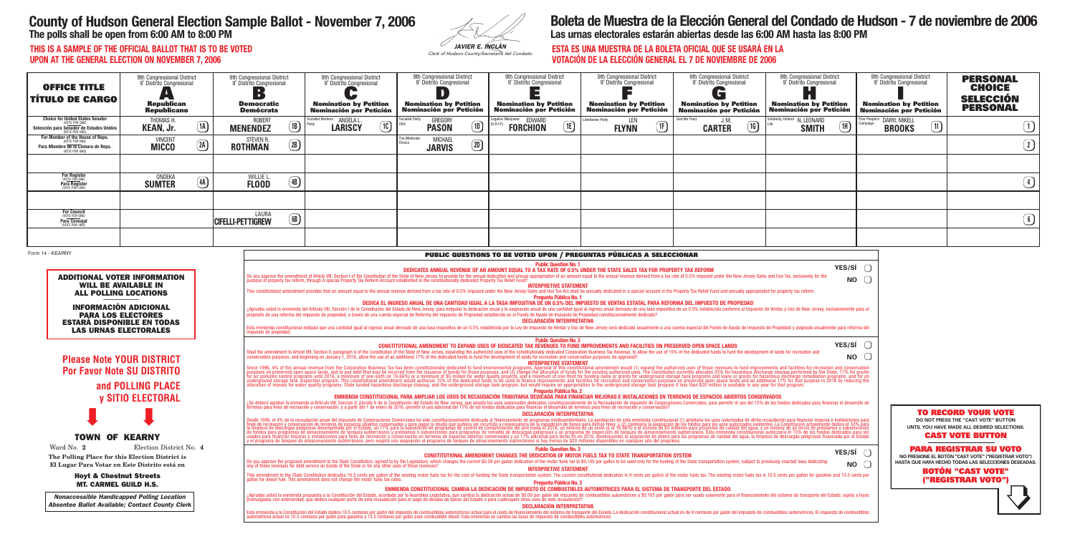| JAVIER E. INCLÁN |
|------------------|

| <b>ESTA ES U</b> |  |
|------------------|--|
| <b>VOTACIÓN</b>  |  |
|                  |  |

# **County of Hudson General Election Sample Ballot - November 7, 2006**

**The polls shall be open from 6:00 AM to 8:00 PM**

## **Boleta de Muestra de la Elección General del Condado de Hudson - 7 de noviembre de 2006 Las urnas electorales estarán abiertas desde las 6:00 AM hasta las 8:00 PM**

**THIS IS A SAMPLE OF THE OFFICIAL BALLOT THAT IS TO BE VOTED UPON AT THE GENERAL ELECTION ON NOVEMBER 7, 2006**

## **ESTA ES UNA MUESTRA DE LA BOLETA OFICIAL QUE SE USARÁ EN LA VOTACIÓN DE LA ELECCIÓN GENERAL EL 7 DE NOVIEMBRE DE 2006**

| <b>OFFICE TITLE</b><br><b>TÍTULO DE CARGO</b>                                                                                                                                                                                        | 9th Congressional District<br>9° Distrito Congresional<br>Republican<br>Republicano |                             | 9th Congressional District<br>9° Distrito Congresional<br>$\blacksquare$<br><b>Democratic</b><br><b>Demócrata</b> |                                      | 9th Congressional District<br>9° Distrito Congresional<br><b>Nomination by Petition</b><br><b>Nominación por Petición</b> |                | 9th Congressional District<br>9° Distrito Congresional<br><b>Nomination by Petition</b><br><b>Nominación por Petición</b> | 9th Congressional District<br>9° Distrito Congresional<br><b>Nomination by Petition</b><br><b>Nominación por Petición</b>                                                                                                                                                                                                                                                                                                                                                                                                                                                                                                                                                                                                                                                                                                                                                                                                                                                                                                                                                                                                                                                                                                                                                                                                         | 9th Congressional District<br>9° Distrito Congresional<br><b>Nomination by Petition</b><br><b>Nominación por Petición</b> | 9th Congressional District<br>9° Distrito Congresional<br>$\overline{\mathbf{G}}$<br><b>Nomination by Petition</b><br>Nominación por Petición | 9th Congressional District<br>9° Distrito Congresional<br><b>Nomination by Petition</b><br><b>Nominación por Petición</b> | 9th Congressional District<br>9° Distrito Congresional<br><b>Nomination by Petition</b><br>Nominación por Petición | <b>PERSONAL</b><br><b>CHOICE</b><br><b>SELECCIÓN</b><br><b>PERSONAL</b>                                                                                                                                                             |
|--------------------------------------------------------------------------------------------------------------------------------------------------------------------------------------------------------------------------------------|-------------------------------------------------------------------------------------|-----------------------------|-------------------------------------------------------------------------------------------------------------------|--------------------------------------|---------------------------------------------------------------------------------------------------------------------------|----------------|---------------------------------------------------------------------------------------------------------------------------|-----------------------------------------------------------------------------------------------------------------------------------------------------------------------------------------------------------------------------------------------------------------------------------------------------------------------------------------------------------------------------------------------------------------------------------------------------------------------------------------------------------------------------------------------------------------------------------------------------------------------------------------------------------------------------------------------------------------------------------------------------------------------------------------------------------------------------------------------------------------------------------------------------------------------------------------------------------------------------------------------------------------------------------------------------------------------------------------------------------------------------------------------------------------------------------------------------------------------------------------------------------------------------------------------------------------------------------|---------------------------------------------------------------------------------------------------------------------------|-----------------------------------------------------------------------------------------------------------------------------------------------|---------------------------------------------------------------------------------------------------------------------------|--------------------------------------------------------------------------------------------------------------------|-------------------------------------------------------------------------------------------------------------------------------------------------------------------------------------------------------------------------------------|
| <b>Choice for United States Senator</b><br>Selección para Senador de Estados Unidos<br>(OTE POR UNO)                                                                                                                                 | THOMAS H.<br><b>KEAN, Jr.</b>                                                       | $\boxed{1}$                 | <b>ROBERT</b><br><b>MENENDEZ</b>                                                                                  | $\sqrt{18}$                          | Socialist Workers <b>ANGELA L</b><br>$\circledR$<br><b>LARISCY</b>                                                        | ocialist Party | <b>GREGORY</b><br>$\boxed{1}$<br><b>PASON</b>                                                                             | egalize Marijuana  EDWARD<br>$\underline{\mathsf{1E}}$<br><b>FORCHION</b>                                                                                                                                                                                                                                                                                                                                                                                                                                                                                                                                                                                                                                                                                                                                                                                                                                                                                                                                                                                                                                                                                                                                                                                                                                                         | Libertarian Partv<br>LEN<br>(1)<br><b>FLYNN</b>                                                                           | God We Trust<br>J.M.<br>$\boxed{16}$<br><b>CARTER</b>                                                                                         | Solidarity, Defend N. LEONARD<br>$\circled{\scriptstyle 1}$<br><b>SMITH</b>                                               | oor People's DARYL MIKELL<br>$\boxed{1}$<br><b>BROOKS</b>                                                          | $\bigcirc$                                                                                                                                                                                                                          |
| For Member of the House of Reps.<br>VOTE FOR ONE)<br>Para Miembro de la Cámara de Reps.<br><b>NOTE POR UNO</b>                                                                                                                       | <b>VINCENT</b><br><b>MICCO</b>                                                      | $\left( 2\mathbf{A}\right)$ | STEVEN R.<br><b>ROTHMAN</b>                                                                                       | $\left( 2B\right)$                   |                                                                                                                           | าe Moderate    | <b>MICHAEL</b><br>$\boxed{2D}$<br><b>JARVIS</b>                                                                           |                                                                                                                                                                                                                                                                                                                                                                                                                                                                                                                                                                                                                                                                                                                                                                                                                                                                                                                                                                                                                                                                                                                                                                                                                                                                                                                                   |                                                                                                                           |                                                                                                                                               |                                                                                                                           |                                                                                                                    | $\bigcirc$                                                                                                                                                                                                                          |
|                                                                                                                                                                                                                                      |                                                                                     |                             |                                                                                                                   |                                      |                                                                                                                           |                |                                                                                                                           |                                                                                                                                                                                                                                                                                                                                                                                                                                                                                                                                                                                                                                                                                                                                                                                                                                                                                                                                                                                                                                                                                                                                                                                                                                                                                                                                   |                                                                                                                           |                                                                                                                                               |                                                                                                                           |                                                                                                                    |                                                                                                                                                                                                                                     |
| For Register<br>(VOTE FOR ONE)<br>Para Register<br>(VOTE POR UNO)                                                                                                                                                                    | ONDEKA<br><b>SUMTER</b>                                                             | $\boxed{4A}$                | WILLIE L<br><b>FLOOD</b>                                                                                          | $\circled{4B}$                       |                                                                                                                           |                |                                                                                                                           |                                                                                                                                                                                                                                                                                                                                                                                                                                                                                                                                                                                                                                                                                                                                                                                                                                                                                                                                                                                                                                                                                                                                                                                                                                                                                                                                   |                                                                                                                           |                                                                                                                                               |                                                                                                                           |                                                                                                                    | $\bigcirc$                                                                                                                                                                                                                          |
|                                                                                                                                                                                                                                      |                                                                                     |                             |                                                                                                                   |                                      |                                                                                                                           |                |                                                                                                                           |                                                                                                                                                                                                                                                                                                                                                                                                                                                                                                                                                                                                                                                                                                                                                                                                                                                                                                                                                                                                                                                                                                                                                                                                                                                                                                                                   |                                                                                                                           |                                                                                                                                               |                                                                                                                           |                                                                                                                    |                                                                                                                                                                                                                                     |
| <b>For Council</b><br>(VOTE FOR ONE)<br><b>Para Consejal</b><br>(VOTE POR UNO)                                                                                                                                                       |                                                                                     |                             | LAURA<br><b>CIFELLI-PETTIGREW</b>                                                                                 | $\circled{\scriptstyle \mathrm{BB}}$ |                                                                                                                           |                |                                                                                                                           |                                                                                                                                                                                                                                                                                                                                                                                                                                                                                                                                                                                                                                                                                                                                                                                                                                                                                                                                                                                                                                                                                                                                                                                                                                                                                                                                   |                                                                                                                           |                                                                                                                                               |                                                                                                                           |                                                                                                                    | $\bigcirc$                                                                                                                                                                                                                          |
|                                                                                                                                                                                                                                      |                                                                                     |                             |                                                                                                                   |                                      |                                                                                                                           |                |                                                                                                                           |                                                                                                                                                                                                                                                                                                                                                                                                                                                                                                                                                                                                                                                                                                                                                                                                                                                                                                                                                                                                                                                                                                                                                                                                                                                                                                                                   |                                                                                                                           |                                                                                                                                               |                                                                                                                           |                                                                                                                    |                                                                                                                                                                                                                                     |
| Form 14 - KEARNY                                                                                                                                                                                                                     |                                                                                     |                             |                                                                                                                   |                                      |                                                                                                                           |                |                                                                                                                           | PUBLIC QUESTIONS TO BE VOTED UPON / PREGUNTAS PÚBLICAS A SELECCIONAR<br><b>Public Question No. 1</b>                                                                                                                                                                                                                                                                                                                                                                                                                                                                                                                                                                                                                                                                                                                                                                                                                                                                                                                                                                                                                                                                                                                                                                                                                              |                                                                                                                           |                                                                                                                                               | YES/SÍ                                                                                                                    |                                                                                                                    |                                                                                                                                                                                                                                     |
| <b>ADDITIONAL VOTER INFORMATION</b><br><b>WILL BE AVAILABLE IN</b><br><b>ALL POLLING LOCATIONS</b><br><b>INFORMACIÓN ADICIONAL</b><br><b>PARA LOS ELECTORES</b><br><b>ESTARÁ DISPONIBLE EN TODAS</b><br><b>LAS URNAS ELECTORALES</b> |                                                                                     |                             | impuesto de propiedad.                                                                                            |                                      |                                                                                                                           |                |                                                                                                                           | Do you approve the amendment of Article VIII, Section I of the Constitution of the State of New Jersey, to provide for the annual dedication and annual appropriation of an amount equal to the annual revenue derived from a<br><b>INTERPRETIVE STATEMENT</b><br>This constitutional amendment provides that an amount equal to the annual revenue derived from a tax rate of 0.5% imposed under the New Jersey Sales and Use Tax Act shall be annually dedicated in a special account in the P<br><b>Pregunta Pública No. 1</b><br>DEDICA EL INGRESO ANUAL DE UNA CANTIDAD IGUAL A LA TASA IMPOSITIVA DE UN 0.5% DEL IMPUESTO DE VENTAS ESTATAL PARA REFORMA DEL IMPUESTO DE PROPIEDAD<br>¿Aprueba usted la enmienda del Artículo VIII, Sección I de la Constitución del Estado de New Jersey, para estipular la dedicación anual y la asignación anual y le asignación anual de una cantidad igual al ingreso anual der<br><b>DECLARACIÓN INTERPRETATIVA</b><br>Esta enmienda constitucional estipula que una cantidad igual al ingreso anual derivado de una tasa impositiva de un 0.5% establecida por la Ley de Impuesto de Ventas y Uso de New Jersey será dedicada anualmente a una cuent                                                                                                                                 |                                                                                                                           |                                                                                                                                               | <b>NO</b>                                                                                                                 |                                                                                                                    |                                                                                                                                                                                                                                     |
| <b>Please Note YOUR DISTRICT</b><br><b>Por Favor Note SU DISTRITO</b>                                                                                                                                                                | and POLLING PLACE<br><b>y SITIO ELECTORAL</b>                                       |                             |                                                                                                                   |                                      |                                                                                                                           |                |                                                                                                                           | <b>Public Question No. 2</b><br>CONSTITUTIONAL AMENDMENT TO EXPAND USES OF DEDICATED TAX REVENUES TO FUND IMPROVEMENTS AND FACILITIES ON PRESERVED OPEN SPACE LANDS<br>Shall the amendment to Article VIII, Section II, paragraph 6 of the Constitution of the State of New Jersey, expanding the authorized uses of the constitutionally dedicated Corporation Business Tax Revenue, to allow the us<br>conservation purposes, and beginning on January 1, 2016, allow the use of an additional 17% of the dedicated funds to fund the development of lands for recreation and conservation purposes, be approved?<br><b>INTERPRETIVE STATEMENT</b><br>Since 1996, 4% of the annual revenue from the Corporation Business Tax has been constitutionally dedicated to fund environmental programs. Approval of this constitutional amendment would (1) expand the authorized uses of t<br><b>Pregunta Pública No. 2</b><br>ENMIENDA CONSTITUCIONAL PARA AMPLIAR LOS USOS DE RECAUDACIÓN TRIBUTARIA DEDIČADA PARA FINANCIAR MEJORAS E INSTALACIONES EN TERRENOS DE ESPACIOS ABIERTOS CONSERVADOS<br>¿Se deberá aprobar la enmienda al Artículo VIII, Sección II, párrafo 6 de la Constitución del Estado de New Jersey, que amplía los usos autorizados dedicados constitucionalmente de la Recaudación de Impuesto de Corporacion |                                                                                                                           |                                                                                                                                               | <b>YES/SÍ</b><br><b>NO</b>                                                                                                |                                                                                                                    |                                                                                                                                                                                                                                     |
| <b>TOWN OF KEARNY</b><br>Ward No. 2<br>The Polling Place for this Election District is                                                                                                                                               | Election District No. 4                                                             |                             |                                                                                                                   |                                      |                                                                                                                           |                |                                                                                                                           | DECLARACIÓN INTERPRETATIVA<br>Desde 1996, el 4% de la recaudación anual del Impuesto de Corporaciones Comerciales ha sido constitucionalmente dedicada al financiamiento de programas medioambientales. La aprobación de esta enmienda constitucional (1) am<br><b>Public Question No. 3</b><br><b>CONSTITUTIONAL AMENDMENT CHANGES THE DEDICATION OF MOTOR FUELS TAX TO STATE TRANSPORTATION SYSTEM</b>                                                                                                                                                                                                                                                                                                                                                                                                                                                                                                                                                                                                                                                                                                                                                                                                                                                                                                                          |                                                                                                                           |                                                                                                                                               | <b>YES/SÍ</b>                                                                                                             |                                                                                                                    | <b>TO RECORD YOUR VOTE</b><br>DO NOT PRESS THE "CAST VOTE" BUTTON<br>UNTIL YOU HAVE MADE ALL DESIRED SELECTIONS.<br><b>CAST VOTE BUTTON</b><br><b>PARA REGISTRAR SU VOTO</b><br>NO PRESIONE EL BOTÓN "CAST VOTE" ("REGISTRAR VOTO") |
| El Lugar Para Votar en Este Distrito está en<br><b>Hoyt &amp; Chestnut Streets</b><br><b>MT. CARMEL GUILD H.S.</b>                                                                                                                   |                                                                                     |                             |                                                                                                                   |                                      | any of these revenues for debt service on bonds of the State or for any other uses of these revenues?                     |                |                                                                                                                           | Do you approve the proposed amendment to the State Constitution, agreed to by the Legislature, which changes the current \$0.09 per gallon dedication of the motor fuels tax to \$0.105 per gallon to be used only for the fundi<br><b>INTERPRETIVE STATEMENT</b><br>This amendment to the State Constitution dedicates 10.5 cents per gallon of the existing motor fuels tax for the cost of funding the State transportation system. The current constitutional dedication is 9 cents per gallon<br><b>Pregunta Pública No. 3</b><br>ENMIENDA CONSTITUCIONAL CAMBIA LA DEDICACIÓN DE IMPUESTO DE COMBUSTIBLES AUTOMOTRICES PARA EL SISTEMA DE TRANSPORTE DEL ESTADO                                                                                                                                                                                                                                                                                                                                                                                                                                                                                                                                                                                                                                                             |                                                                                                                           |                                                                                                                                               | <b>NO</b>                                                                                                                 |                                                                                                                    | HASTA QUE HAYA HECHO TODAS LAS SELECCIONES DESEADAS.<br><b>BOTÓN "CAST VOTE"</b><br>("REGISTRAR VOTO")                                                                                                                              |
| <b>Nonaccessible Handicapped Polling Location</b><br>Absentee Ballot Available; Contact County Clerk                                                                                                                                 |                                                                                     |                             |                                                                                                                   |                                      |                                                                                                                           |                |                                                                                                                           | ¿Aprueba usted la enmienda propuesta a la Constitución del Estado, acordada por la Asamblea Legislativa, que cambia la dedicación actual de \$0.09 por galón del impuesto de combustibles automotrices a \$0.105 por galón para<br><b>DECLARACIÓN INTERPRETATIVA</b><br>Esta enmienda a la Constitución del Estado dedica 10.5 centavos por galón del impuesto de combustibles automotrices actual para el costo de financiamiento del sistema de transporte del Estado. La dedicación constitucional                                                                                                                                                                                                                                                                                                                                                                                                                                                                                                                                                                                                                                                                                                                                                                                                                             |                                                                                                                           |                                                                                                                                               |                                                                                                                           |                                                                                                                    |                                                                                                                                                                                                                                     |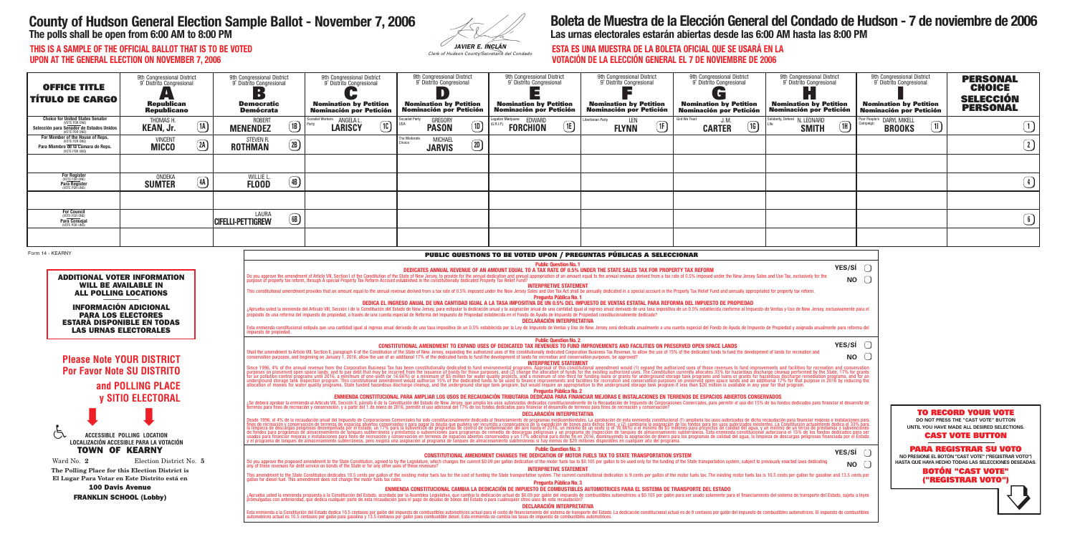| IN6 |                                               |
|-----|-----------------------------------------------|
|     | JAVIER E. INGLÁN                              |
|     | Clerk of Hudson County/Secretario del Condado |

| виа во ш<br><b>VOTACIÓN</b> |  |
|-----------------------------|--|
| innal District              |  |

# **County of Hudson General Election Sample Ballot - November 7, 2006**

**The polls shall be open from 6:00 AM to 8:00 PM**

## **ESTA ES UNA MUESTRA DE LA BOLETA OFICIAL QUE SE USARÁ EN LA I DE LA ELECCIÓN GENERAL EL 7 DE NOVIEMBRE DE 2006**

## **Boleta de Muestra de la Elección General del Condado de Hudson - 7 de noviembre de 2006 Las urnas electorales estarán abiertas desde las 6:00 AM hasta las 8:00 PM**

**THIS IS A SAMPLE OF THE OFFICIAL BALLOT THAT IS TO BE VOTED UPON AT THE GENERAL ELECTION ON NOVEMBER 7, 2006**

| <b>OFFICE TITLE</b><br><b>TITULO DE CARGO</b>                                                                                                                                                                                                                                                                                                                  | 9th Congressional District<br>9° Distrito Congresional<br>7 m i<br><b>Republican</b><br><b>Republicano</b> |                    | 9th Congressional District<br>9° Distrito Congresional<br>$\blacksquare$<br><b>Democratic</b><br><b>Demócrata</b> |                                                                                                                                                                                                                                                                                                                                                                                                                                                                                                                                                                                                                                                                                                                                                                                                                                                                                                                                                                                                                                                                                                                                                                                                                                                                                                                                                                                                                                                                                                                                                                                                                                                                                                                                                                                                                                                                                                                                                                                                                                                                                                                                                                                                                                                                                                                                                                                                                                                                                                                                                                                                                                                                                                                                                           | 9th Congressional District<br>9° Distrito Congresional<br><b>Nomination by Petition</b><br><b>Nominación por Petición</b> | 9th Congressional District<br>9° Distrito Congresional<br><b>Nomination by Petition</b><br><b>Nominación por Petición</b> |                                                                                                                                                                                                                                                                                                                                                                                                                                                                                                                                                                                                                                                                                                                                                                                                                                                                                                                                                                                                                                                                                                                                                                                                                                                                                                                                                                                                                                                                                                                                                                                     | 9th Congressional District<br>9° Distrito Congresional<br><b>Nomination by Petition</b><br><b>Nominación por Petición</b> | 9th Congressional District<br>9° Distrito Congresional<br><b>Nomination by Petition</b><br><b>Nominación por Petición</b> | 9th Congressional District<br>9° Distrito Congresional<br>G<br><b>Nomination by Petition</b><br><b>Nominación por Petición</b> | 9th Congressional District<br>9° Distrito Congresional<br><b>I</b><br><b>Nomination by Petition</b><br><b>Nominación por Petición</b> | 9th Congressional District<br>9° Distrito Congresional<br><b>Nomination by Petition</b><br>Nominación por Petición                                                                                                                                                                                                                            | <b>PERSONAL</b><br><b>CHOICE</b><br><b>SELECCIÓN</b><br><b>PERSONAL</b> |
|----------------------------------------------------------------------------------------------------------------------------------------------------------------------------------------------------------------------------------------------------------------------------------------------------------------------------------------------------------------|------------------------------------------------------------------------------------------------------------|--------------------|-------------------------------------------------------------------------------------------------------------------|-----------------------------------------------------------------------------------------------------------------------------------------------------------------------------------------------------------------------------------------------------------------------------------------------------------------------------------------------------------------------------------------------------------------------------------------------------------------------------------------------------------------------------------------------------------------------------------------------------------------------------------------------------------------------------------------------------------------------------------------------------------------------------------------------------------------------------------------------------------------------------------------------------------------------------------------------------------------------------------------------------------------------------------------------------------------------------------------------------------------------------------------------------------------------------------------------------------------------------------------------------------------------------------------------------------------------------------------------------------------------------------------------------------------------------------------------------------------------------------------------------------------------------------------------------------------------------------------------------------------------------------------------------------------------------------------------------------------------------------------------------------------------------------------------------------------------------------------------------------------------------------------------------------------------------------------------------------------------------------------------------------------------------------------------------------------------------------------------------------------------------------------------------------------------------------------------------------------------------------------------------------------------------------------------------------------------------------------------------------------------------------------------------------------------------------------------------------------------------------------------------------------------------------------------------------------------------------------------------------------------------------------------------------------------------------------------------------------------------------------------------------|---------------------------------------------------------------------------------------------------------------------------|---------------------------------------------------------------------------------------------------------------------------|-------------------------------------------------------------------------------------------------------------------------------------------------------------------------------------------------------------------------------------------------------------------------------------------------------------------------------------------------------------------------------------------------------------------------------------------------------------------------------------------------------------------------------------------------------------------------------------------------------------------------------------------------------------------------------------------------------------------------------------------------------------------------------------------------------------------------------------------------------------------------------------------------------------------------------------------------------------------------------------------------------------------------------------------------------------------------------------------------------------------------------------------------------------------------------------------------------------------------------------------------------------------------------------------------------------------------------------------------------------------------------------------------------------------------------------------------------------------------------------------------------------------------------------------------------------------------------------|---------------------------------------------------------------------------------------------------------------------------|---------------------------------------------------------------------------------------------------------------------------|--------------------------------------------------------------------------------------------------------------------------------|---------------------------------------------------------------------------------------------------------------------------------------|-----------------------------------------------------------------------------------------------------------------------------------------------------------------------------------------------------------------------------------------------------------------------------------------------------------------------------------------------|-------------------------------------------------------------------------|
| <b>Choice for United States Senator</b><br><b>NOTE FOR ONE)</b><br>Selección para Senador de Estados Unidos<br>(VOTE POR UNO)                                                                                                                                                                                                                                  | THOMAS H<br><b>KEAN, Jr.</b>                                                                               | $\boxed{1}$        | <b>ROBERT</b><br><b>MENENDEZ</b>                                                                                  | (B)                                                                                                                                                                                                                                                                                                                                                                                                                                                                                                                                                                                                                                                                                                                                                                                                                                                                                                                                                                                                                                                                                                                                                                                                                                                                                                                                                                                                                                                                                                                                                                                                                                                                                                                                                                                                                                                                                                                                                                                                                                                                                                                                                                                                                                                                                                                                                                                                                                                                                                                                                                                                                                                                                                                                                       | Socialist Workers <b>ANGELA L</b><br>$\underline{\mathsf{IC}}$<br><b>LARISCY</b>                                          | ocialist Party                                                                                                            | GREGORY<br>$\boxed{1}$<br><b>PASON</b>                                                                                                                                                                                                                                                                                                                                                                                                                                                                                                                                                                                                                                                                                                                                                                                                                                                                                                                                                                                                                                                                                                                                                                                                                                                                                                                                                                                                                                                                                                                                              | egalize Marijuana EDWARD<br>E<br><b>FORCHION</b>                                                                          | ibertarian Party.<br>LEN<br><b>FLYNN</b>                                                                                  | God We Trust<br>J. M.<br>$\boxed{1}$<br><b>CARTER</b>                                                                          | olidarity, Defend N. LEONARD<br>$\boxed{1}$<br><b>SMITH</b>                                                                           | Poor People's DARYL MIKELL<br>$\boxed{1}$<br><b>BROOKS</b>                                                                                                                                                                                                                                                                                    | $\boxed{1}$                                                             |
| For Member of the House of Reps.<br>VOTE FOR ONE)<br>Para Miembro de la Cámara de Reps.<br><b>NOTE POR UNO</b>                                                                                                                                                                                                                                                 | <b>VINCENT</b><br><b>MICCO</b>                                                                             | $\left( 2A\right)$ | <b>STEVEN R</b><br><b>ROTHMAN</b>                                                                                 | $\left( 2B\right)$                                                                                                                                                                                                                                                                                                                                                                                                                                                                                                                                                                                                                                                                                                                                                                                                                                                                                                                                                                                                                                                                                                                                                                                                                                                                                                                                                                                                                                                                                                                                                                                                                                                                                                                                                                                                                                                                                                                                                                                                                                                                                                                                                                                                                                                                                                                                                                                                                                                                                                                                                                                                                                                                                                                                        |                                                                                                                           | The Moderate                                                                                                              | <b>MICHAEL</b><br>$\boxed{2D}$<br><b>JARVIS</b>                                                                                                                                                                                                                                                                                                                                                                                                                                                                                                                                                                                                                                                                                                                                                                                                                                                                                                                                                                                                                                                                                                                                                                                                                                                                                                                                                                                                                                                                                                                                     |                                                                                                                           |                                                                                                                           |                                                                                                                                |                                                                                                                                       |                                                                                                                                                                                                                                                                                                                                               | $\bigcirc$                                                              |
|                                                                                                                                                                                                                                                                                                                                                                |                                                                                                            |                    |                                                                                                                   |                                                                                                                                                                                                                                                                                                                                                                                                                                                                                                                                                                                                                                                                                                                                                                                                                                                                                                                                                                                                                                                                                                                                                                                                                                                                                                                                                                                                                                                                                                                                                                                                                                                                                                                                                                                                                                                                                                                                                                                                                                                                                                                                                                                                                                                                                                                                                                                                                                                                                                                                                                                                                                                                                                                                                           |                                                                                                                           |                                                                                                                           |                                                                                                                                                                                                                                                                                                                                                                                                                                                                                                                                                                                                                                                                                                                                                                                                                                                                                                                                                                                                                                                                                                                                                                                                                                                                                                                                                                                                                                                                                                                                                                                     |                                                                                                                           |                                                                                                                           |                                                                                                                                |                                                                                                                                       |                                                                                                                                                                                                                                                                                                                                               |                                                                         |
| For Register<br>(VOTE FOR ONE)<br>Para Register<br>(VOTE POR UNO)                                                                                                                                                                                                                                                                                              | ONDEKA<br><b>SUMTER</b>                                                                                    | $\bigcirc$         | WILLIE I<br><b>FLOOD</b>                                                                                          | $\left( \frac{4}{3} \right)$                                                                                                                                                                                                                                                                                                                                                                                                                                                                                                                                                                                                                                                                                                                                                                                                                                                                                                                                                                                                                                                                                                                                                                                                                                                                                                                                                                                                                                                                                                                                                                                                                                                                                                                                                                                                                                                                                                                                                                                                                                                                                                                                                                                                                                                                                                                                                                                                                                                                                                                                                                                                                                                                                                                              |                                                                                                                           |                                                                                                                           |                                                                                                                                                                                                                                                                                                                                                                                                                                                                                                                                                                                                                                                                                                                                                                                                                                                                                                                                                                                                                                                                                                                                                                                                                                                                                                                                                                                                                                                                                                                                                                                     |                                                                                                                           |                                                                                                                           |                                                                                                                                |                                                                                                                                       |                                                                                                                                                                                                                                                                                                                                               | $\bigcirc$                                                              |
|                                                                                                                                                                                                                                                                                                                                                                |                                                                                                            |                    |                                                                                                                   |                                                                                                                                                                                                                                                                                                                                                                                                                                                                                                                                                                                                                                                                                                                                                                                                                                                                                                                                                                                                                                                                                                                                                                                                                                                                                                                                                                                                                                                                                                                                                                                                                                                                                                                                                                                                                                                                                                                                                                                                                                                                                                                                                                                                                                                                                                                                                                                                                                                                                                                                                                                                                                                                                                                                                           |                                                                                                                           |                                                                                                                           |                                                                                                                                                                                                                                                                                                                                                                                                                                                                                                                                                                                                                                                                                                                                                                                                                                                                                                                                                                                                                                                                                                                                                                                                                                                                                                                                                                                                                                                                                                                                                                                     |                                                                                                                           |                                                                                                                           |                                                                                                                                |                                                                                                                                       |                                                                                                                                                                                                                                                                                                                                               |                                                                         |
| <b>For Council</b><br>(VOTE FOR ONE)<br><b>Para Consejal</b><br>(VOTE POR UNO)                                                                                                                                                                                                                                                                                 |                                                                                                            |                    | LAURA<br><b>CIFELLI-PETTIGREW</b>                                                                                 | $\circled{\scriptstyle \bf B}$                                                                                                                                                                                                                                                                                                                                                                                                                                                                                                                                                                                                                                                                                                                                                                                                                                                                                                                                                                                                                                                                                                                                                                                                                                                                                                                                                                                                                                                                                                                                                                                                                                                                                                                                                                                                                                                                                                                                                                                                                                                                                                                                                                                                                                                                                                                                                                                                                                                                                                                                                                                                                                                                                                                            |                                                                                                                           |                                                                                                                           |                                                                                                                                                                                                                                                                                                                                                                                                                                                                                                                                                                                                                                                                                                                                                                                                                                                                                                                                                                                                                                                                                                                                                                                                                                                                                                                                                                                                                                                                                                                                                                                     |                                                                                                                           |                                                                                                                           |                                                                                                                                |                                                                                                                                       |                                                                                                                                                                                                                                                                                                                                               | $\bigcirc$                                                              |
|                                                                                                                                                                                                                                                                                                                                                                |                                                                                                            |                    |                                                                                                                   |                                                                                                                                                                                                                                                                                                                                                                                                                                                                                                                                                                                                                                                                                                                                                                                                                                                                                                                                                                                                                                                                                                                                                                                                                                                                                                                                                                                                                                                                                                                                                                                                                                                                                                                                                                                                                                                                                                                                                                                                                                                                                                                                                                                                                                                                                                                                                                                                                                                                                                                                                                                                                                                                                                                                                           |                                                                                                                           |                                                                                                                           |                                                                                                                                                                                                                                                                                                                                                                                                                                                                                                                                                                                                                                                                                                                                                                                                                                                                                                                                                                                                                                                                                                                                                                                                                                                                                                                                                                                                                                                                                                                                                                                     |                                                                                                                           |                                                                                                                           |                                                                                                                                |                                                                                                                                       |                                                                                                                                                                                                                                                                                                                                               |                                                                         |
| <b>ADDITIONAL VOTER INFORMATION</b><br><b>WILL BE AVAILABLE IN</b><br><b>ALL POLLING LOCATIONS</b><br><b>INFORMACIÓN ADICIONAL</b><br><b>PARA LOS ELECTORES</b><br><b>ESTARÁ DISPONIBLE EN TODAS</b><br><b>LAS URNAS ELECTORALES</b><br><b>Please Note YOUR DISTRICT</b><br><b>Por Favor Note SU DISTRITO</b><br>and POLLING PLACE<br><b>y SITIO ELECTORAL</b> |                                                                                                            |                    |                                                                                                                   | YES/SÍ $\bigcap$<br>DEDICATES ANNUAL REVENUE OF AN AMOUNT EQUAL TO A TAX RATE OF 0.5% UNDER THE STATE SALES TAX FOR PROPERTY TAX REFORM<br>Do you approve the amendment of Article VIII, Section I of the Constitution of the State of New Jersey, to provide for the annual dedication and annual appropriation of an amount equal to the annual revenue derived from a<br><b>NO</b><br><b>INTERPRETIVE STATEMENT</b><br>This constitutional amendment provides that an amount equal to the annual revenue derived from a tax rate of 0.5% imposed under the New Jersey Sales and Use Tax Act shall be annually dedicated in a special account in the P<br>Pregunta Pública No. 1<br>DEDICA EL INGRESO ANUAL DE UNA CANTIDAD IGUAL A LA TASA IMPOSITIVA DE UN 0.5% DEL IMPUESTO DE VENTAS ESTATAL PARA REFORMA DEL IMPUESTO DE PROPIEDAD<br>¿Aprueba usted la enmienda del Artículo VIII, Sección I de la Constitución del Estado de New Jersey, para estipular la dedicación anual y la asignación anual y le asignación anual de una cantidad igual al ingreso anual der<br><b>DECLARACIÓN INTERPRETATIVA</b><br>Esta enmienda constitucional estipula que una cantidad igual al ingreso anual derivado de una tasa impositiva de un 0.5% establecida por la Ley de Impuesto de Ventas y Uso de New Jersey será dedicada anualmente a una cuent<br>impuesto de propiedad<br><b>Public Question No. 2</b><br><b>YES/SI</b> $\bigcirc$<br>CONSTITUTIONAL AMENDMENT TO EXPAND USES OF DEDICATED TAX REVENUES TO FUND IMPROVEMENTS AND FACILITIES ON PRESERVED OPEN SPACE LANDS<br>Shall the amendment to Article VIII. Section II. paragraph 6 of the Constitution of the State of New Jersey, expanding the authorized uses of the constitutionally dedicated Corporation Business Tax Revenue, to allow the us<br><b>NO</b><br>conservation purposes, and beginning on January 1, 2016, allow the use of an additional 17% of the dedicated funds to fund the development of lands for recreation and conservation purposes, be approved?<br><b>INTERPRETIVE STATEMENT</b><br>Since 1996, 4% of the annual revenue from the Corporation Business Tax has been constitutionally dedicated to fund environmental programs. Approval of this constitutional amendment would (1) expand the authorized uses of t<br><b>Pregunta Pública No. 2</b><br>ENMIENDA CONSTITUCIONAL PARA AMPLIAR LOS USOS DE RECAUDACIÓN TRIBUTARIA DEDICADA PARA FINANCIAR MEJORAS E INSTALACIONES EN TERRENOS DE ESPACIOS ABIERTOS CONSERVADOS<br>¿Se deberá aprobar la enmienda al Artículo VIII, Sección II, párrafo 6 de la Constitución del Estado de New Jersey, que amplía los usos autorizados dedicados constitucionalmente de la Recaudación de Impuesto de Corporacion |                                                                                                                           |                                                                                                                           |                                                                                                                                                                                                                                                                                                                                                                                                                                                                                                                                                                                                                                                                                                                                                                                                                                                                                                                                                                                                                                                                                                                                                                                                                                                                                                                                                                                                                                                                                                                                                                                     |                                                                                                                           |                                                                                                                           |                                                                                                                                |                                                                                                                                       |                                                                                                                                                                                                                                                                                                                                               |                                                                         |
| <b>ACCESSIBLE POLLING LOCATION</b><br>LOCALIZACIÓN ACCESIBLE PARA LA VOTACIÓN<br><b>TOWN OF KEARNY</b><br>Ward No. 2<br>Election District No. 5<br>The Polling Place for this Election District is<br>El Lugar Para Votar en Este Distrito está en<br><b>100 Davis Avenue</b><br><b>FRANKLIN SCHOOL (Lobby)</b>                                                |                                                                                                            |                    |                                                                                                                   |                                                                                                                                                                                                                                                                                                                                                                                                                                                                                                                                                                                                                                                                                                                                                                                                                                                                                                                                                                                                                                                                                                                                                                                                                                                                                                                                                                                                                                                                                                                                                                                                                                                                                                                                                                                                                                                                                                                                                                                                                                                                                                                                                                                                                                                                                                                                                                                                                                                                                                                                                                                                                                                                                                                                                           |                                                                                                                           |                                                                                                                           | DECLARACIÓN INTERPRETATIVA<br>Desde 1996, el 4% de la recaudación anual del Impuesto de Corporaciones Comerciales ha sido constitucionalmente dedicada al financiamiento de programas medioambientales. La aprobación de esta emmienda constitucional (1) am<br><b>Public Question No. 3</b><br><b>CONSTITUTIONAL AMENDMENT CHANGES THE DEDICATION OF MOTOR FUELS TAX TO STATE TRANSPORTATION SYSTEM</b><br>Do you approve the proposed amendment to the State Constitution, agreed to by the Legislature, which changes the current \$0.09 per gallon dedication of the motor fuels tax to \$0.105 per gallon to be used only for the fundi<br><b>INTERPRETIVE STATEMENT</b><br>This amendment to the State Constitution dedicates 10.5 cents per gallon of the existing motor fuels tax for the cost of funding the State transportation system. The current constitutional dedication is 9 cents per gallon<br>Pregunta Pública No. 3<br>ENMIENDA CONSTITUCIONAL CAMBIA LA DEDICACIÓN DE IMPUESTO DE COMBUSTIBLES AUTOMOTRICES PARA EL SISTEMA DE TRANSPORTE DEL ESTADO<br>¿Aprueba usted la enmienda propuesta a la Constitución del Estado, acordada por la Asamblea Legislativa, que cambia la dedicación actual de \$0.09 por galón del impuesto de combustibles automotrices a \$0.105 por galón para<br><b>DECLARACIÓN INTERPRETATIVA</b><br>Esta enmienda a la Constitución del Estado dedica 10.5 centavos por galón del impuesto de combustibles automotrices actual para el costo de financiamiento del sistema de transporte del Estado. La dedicación constitucional |                                                                                                                           |                                                                                                                           | YES/SI $\bigcap$<br><b>NO</b>                                                                                                  |                                                                                                                                       | <b>TO RECORD YOUR VOTE</b><br>DO NOT PRESS THE "CAST VOTE" BUTTON<br>UNTIL YOU HAVE MADE ALL DESIRED SELECTIONS.<br><b>CAST VOTE BUTTON</b><br><b>PARA REGISTRAR SU VOTO</b><br>NO PRESIONE EL BOTÓN "CAST VOTE" ("REGISTRAR VOTO")<br>HASTA QUE HAYA HECHO TODAS LAS SELECCIONES DESEADAS.<br><b>BOTÓN "CAST VOTE"</b><br>("REGISTRAR VOTO") |                                                                         |